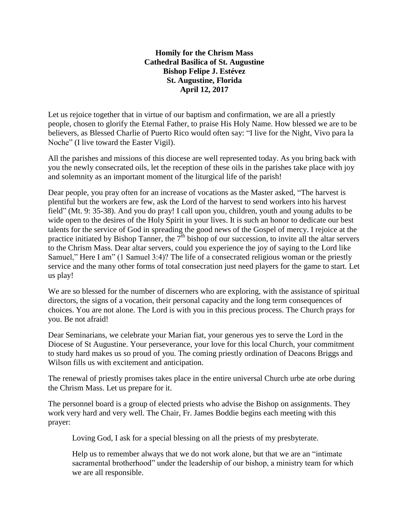**Homily for the Chrism Mass Cathedral Basilica of St. Augustine Bishop Felipe J. Estévez St. Augustine, Florida April 12, 2017**

Let us rejoice together that in virtue of our baptism and confirmation, we are all a priestly people, chosen to glorify the Eternal Father, to praise His Holy Name. How blessed we are to be believers, as Blessed Charlie of Puerto Rico would often say: "I live for the Night, Vivo para la Noche" (I live toward the Easter Vigil).

All the parishes and missions of this diocese are well represented today. As you bring back with you the newly consecrated oils, let the reception of these oils in the parishes take place with joy and solemnity as an important moment of the liturgical life of the parish!

Dear people, you pray often for an increase of vocations as the Master asked, "The harvest is plentiful but the workers are few, ask the Lord of the harvest to send workers into his harvest field" (Mt. 9: 35-38). And you do pray! I call upon you, children, youth and young adults to be wide open to the desires of the Holy Spirit in your lives. It is such an honor to dedicate our best talents for the service of God in spreading the good news of the Gospel of mercy. I rejoice at the practice initiated by Bishop Tanner, the  $7<sup>th</sup>$  bishop of our succession, to invite all the altar servers to the Chrism Mass. Dear altar servers, could you experience the joy of saying to the Lord like Samuel," Here I am" (1 Samuel 3:4)? The life of a consecrated religious woman or the priestly service and the many other forms of total consecration just need players for the game to start. Let us play!

We are so blessed for the number of discerners who are exploring, with the assistance of spiritual directors, the signs of a vocation, their personal capacity and the long term consequences of choices. You are not alone. The Lord is with you in this precious process. The Church prays for you. Be not afraid!

Dear Seminarians, we celebrate your Marian fiat, your generous yes to serve the Lord in the Diocese of St Augustine. Your perseverance, your love for this local Church, your commitment to study hard makes us so proud of you. The coming priestly ordination of Deacons Briggs and Wilson fills us with excitement and anticipation.

The renewal of priestly promises takes place in the entire universal Church urbe ate orbe during the Chrism Mass. Let us prepare for it.

The personnel board is a group of elected priests who advise the Bishop on assignments. They work very hard and very well. The Chair, Fr. James Boddie begins each meeting with this prayer:

Loving God, I ask for a special blessing on all the priests of my presbyterate.

Help us to remember always that we do not work alone, but that we are an "intimate sacramental brotherhood" under the leadership of our bishop, a ministry team for which we are all responsible.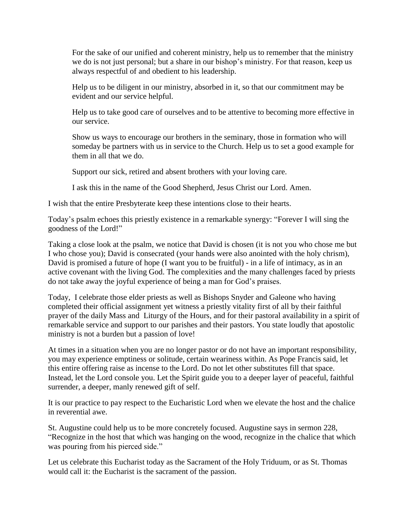For the sake of our unified and coherent ministry, help us to remember that the ministry we do is not just personal; but a share in our bishop's ministry. For that reason, keep us always respectful of and obedient to his leadership.

Help us to be diligent in our ministry, absorbed in it, so that our commitment may be evident and our service helpful.

Help us to take good care of ourselves and to be attentive to becoming more effective in our service.

Show us ways to encourage our brothers in the seminary, those in formation who will someday be partners with us in service to the Church. Help us to set a good example for them in all that we do.

Support our sick, retired and absent brothers with your loving care.

I ask this in the name of the Good Shepherd, Jesus Christ our Lord. Amen.

I wish that the entire Presbyterate keep these intentions close to their hearts.

Today's psalm echoes this priestly existence in a remarkable synergy: "Forever I will sing the goodness of the Lord!"

Taking a close look at the psalm, we notice that David is chosen (it is not you who chose me but I who chose you); David is consecrated (your hands were also anointed with the holy chrism), David is promised a future of hope (I want you to be fruitful) - in a life of intimacy, as in an active covenant with the living God. The complexities and the many challenges faced by priests do not take away the joyful experience of being a man for God's praises.

Today, I celebrate those elder priests as well as Bishops Snyder and Galeone who having completed their official assignment yet witness a priestly vitality first of all by their faithful prayer of the daily Mass and Liturgy of the Hours, and for their pastoral availability in a spirit of remarkable service and support to our parishes and their pastors. You state loudly that apostolic ministry is not a burden but a passion of love!

At times in a situation when you are no longer pastor or do not have an important responsibility, you may experience emptiness or solitude, certain weariness within. As Pope Francis said, let this entire offering raise as incense to the Lord. Do not let other substitutes fill that space. Instead, let the Lord console you. Let the Spirit guide you to a deeper layer of peaceful, faithful surrender, a deeper, manly renewed gift of self.

It is our practice to pay respect to the Eucharistic Lord when we elevate the host and the chalice in reverential awe.

St. Augustine could help us to be more concretely focused. Augustine says in sermon 228, "Recognize in the host that which was hanging on the wood, recognize in the chalice that which was pouring from his pierced side."

Let us celebrate this Eucharist today as the Sacrament of the Holy Triduum, or as St. Thomas would call it: the Eucharist is the sacrament of the passion.